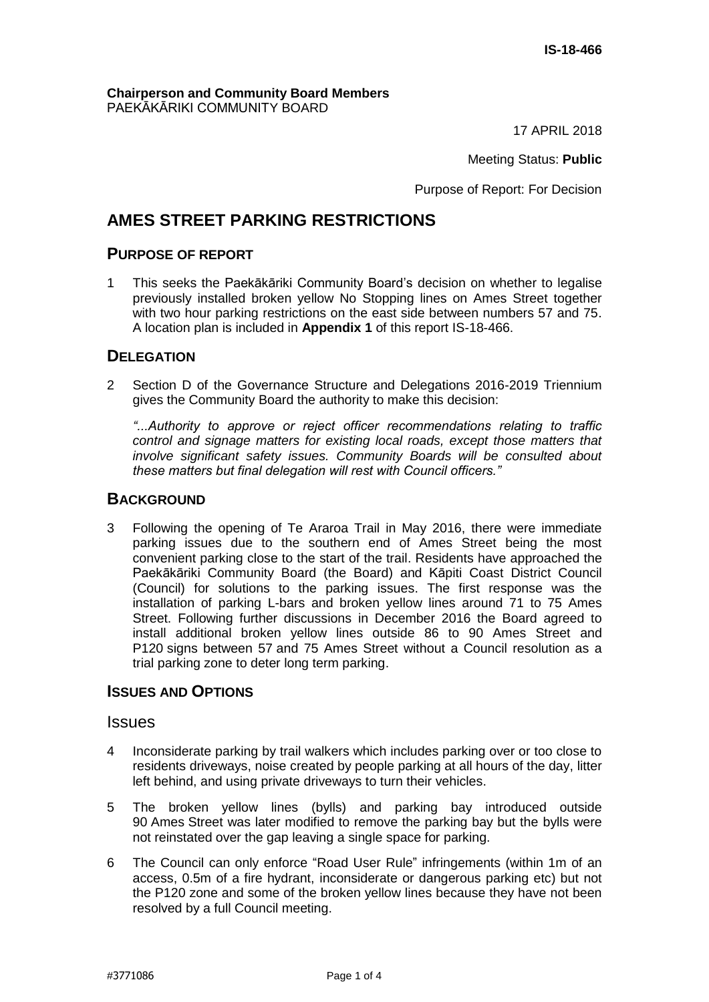#### **Chairperson and Community Board Members** PAEKĀKĀRIKI COMMUNITY BOARD

17 APRIL 2018

Meeting Status: **Public**

Purpose of Report: For Decision

# **AMES STREET PARKING RESTRICTIONS**

## **PURPOSE OF REPORT**

1 This seeks the Paekākāriki Community Board's decision on whether to legalise previously installed broken yellow No Stopping lines on Ames Street together with two hour parking restrictions on the east side between numbers 57 and 75. A location plan is included in **Appendix 1** of this report IS-18-466.

### **DELEGATION**

2 Section D of the Governance Structure and Delegations 2016-2019 Triennium gives the Community Board the authority to make this decision:

*"...Authority to approve or reject officer recommendations relating to traffic control and signage matters for existing local roads, except those matters that involve significant safety issues. Community Boards will be consulted about these matters but final delegation will rest with Council officers."*

### **BACKGROUND**

3 Following the opening of Te Araroa Trail in May 2016, there were immediate parking issues due to the southern end of Ames Street being the most convenient parking close to the start of the trail. Residents have approached the Paekākāriki Community Board (the Board) and Kāpiti Coast District Council (Council) for solutions to the parking issues. The first response was the installation of parking L-bars and broken yellow lines around 71 to 75 Ames Street. Following further discussions in December 2016 the Board agreed to install additional broken yellow lines outside 86 to 90 Ames Street and P120 signs between 57 and 75 Ames Street without a Council resolution as a trial parking zone to deter long term parking.

### **ISSUES AND OPTIONS**

### **Issues**

- 4 Inconsiderate parking by trail walkers which includes parking over or too close to residents driveways, noise created by people parking at all hours of the day, litter left behind, and using private driveways to turn their vehicles.
- 5 The broken yellow lines (bylls) and parking bay introduced outside 90 Ames Street was later modified to remove the parking bay but the bylls were not reinstated over the gap leaving a single space for parking.
- 6 The Council can only enforce "Road User Rule" infringements (within 1m of an access, 0.5m of a fire hydrant, inconsiderate or dangerous parking etc) but not the P120 zone and some of the broken yellow lines because they have not been resolved by a full Council meeting.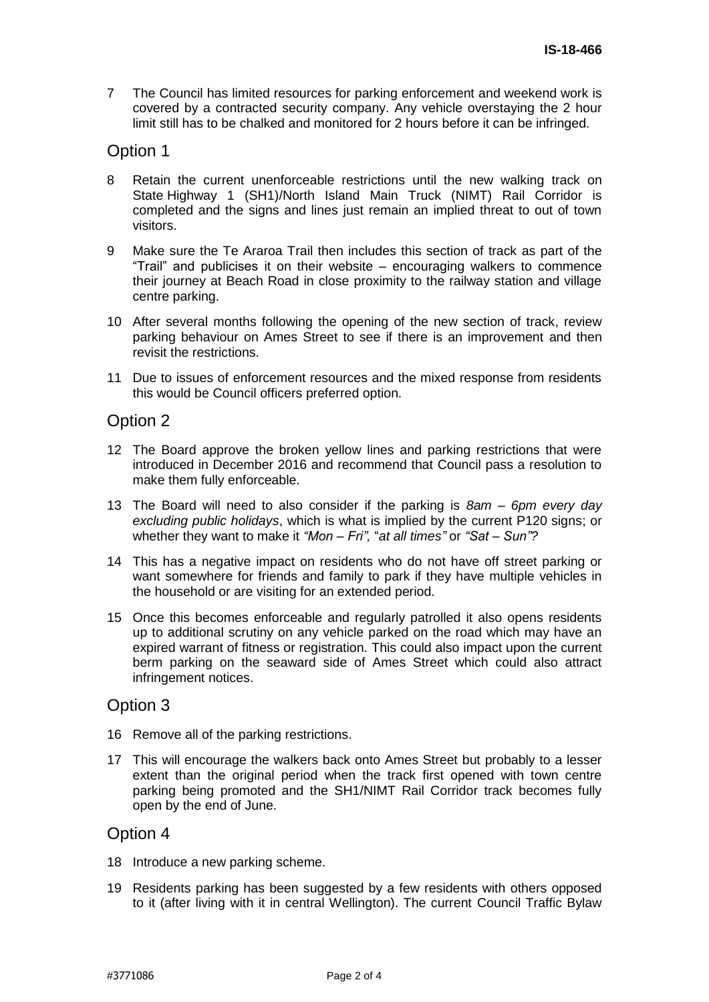7 The Council has limited resources for parking enforcement and weekend work is covered by a contracted security company. Any vehicle overstaying the 2 hour limit still has to be chalked and monitored for 2 hours before it can be infringed.

# Option 1

- 8 Retain the current unenforceable restrictions until the new walking track on State Highway 1 (SH1)/North Island Main Truck (NIMT) Rail Corridor is completed and the signs and lines just remain an implied threat to out of town visitors.
- 9 Make sure the Te Araroa Trail then includes this section of track as part of the "Trail" and publicises it on their website – encouraging walkers to commence their journey at Beach Road in close proximity to the railway station and village centre parking.
- 10 After several months following the opening of the new section of track, review parking behaviour on Ames Street to see if there is an improvement and then revisit the restrictions.
- 11 Due to issues of enforcement resources and the mixed response from residents this would be Council officers preferred option.

## Option 2

- 12 The Board approve the broken yellow lines and parking restrictions that were introduced in December 2016 and recommend that Council pass a resolution to make them fully enforceable.
- 13 The Board will need to also consider if the parking is *8am – 6pm every day excluding public holidays*, which is what is implied by the current P120 signs; or whether they want to make it *"Mon – Fri",* "*at all times"* or *"Sat – Sun"?*
- 14 This has a negative impact on residents who do not have off street parking or want somewhere for friends and family to park if they have multiple vehicles in the household or are visiting for an extended period.
- 15 Once this becomes enforceable and regularly patrolled it also opens residents up to additional scrutiny on any vehicle parked on the road which may have an expired warrant of fitness or registration. This could also impact upon the current berm parking on the seaward side of Ames Street which could also attract infringement notices.

## Option 3

- 16 Remove all of the parking restrictions.
- 17 This will encourage the walkers back onto Ames Street but probably to a lesser extent than the original period when the track first opened with town centre parking being promoted and the SH1/NIMT Rail Corridor track becomes fully open by the end of June.

## Option 4

- 18 Introduce a new parking scheme.
- 19 Residents parking has been suggested by a few residents with others opposed to it (after living with it in central Wellington). The current Council Traffic Bylaw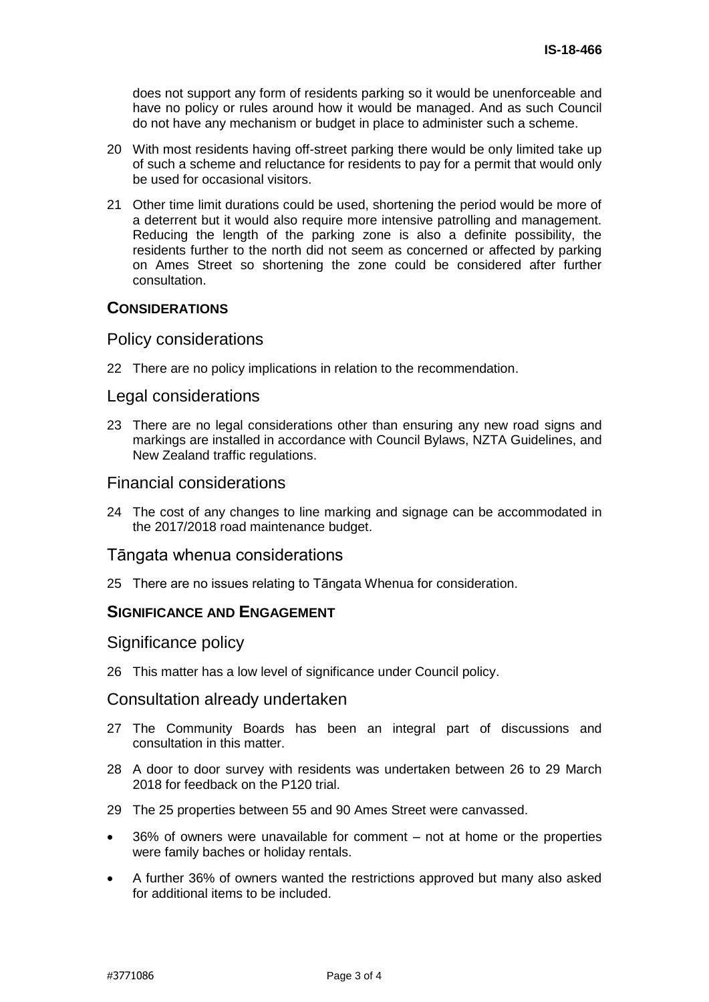does not support any form of residents parking so it would be unenforceable and have no policy or rules around how it would be managed. And as such Council do not have any mechanism or budget in place to administer such a scheme.

- 20 With most residents having off-street parking there would be only limited take up of such a scheme and reluctance for residents to pay for a permit that would only be used for occasional visitors.
- 21 Other time limit durations could be used, shortening the period would be more of a deterrent but it would also require more intensive patrolling and management. Reducing the length of the parking zone is also a definite possibility, the residents further to the north did not seem as concerned or affected by parking on Ames Street so shortening the zone could be considered after further consultation.

## **CONSIDERATIONS**

### Policy considerations

22 There are no policy implications in relation to the recommendation.

### Legal considerations

23 There are no legal considerations other than ensuring any new road signs and markings are installed in accordance with Council Bylaws, NZTA Guidelines, and New Zealand traffic regulations.

### Financial considerations

24 The cost of any changes to line marking and signage can be accommodated in the 2017/2018 road maintenance budget.

### Tāngata whenua considerations

25 There are no issues relating to Tāngata Whenua for consideration.

### **SIGNIFICANCE AND ENGAGEMENT**

Significance policy

26 This matter has a low level of significance under Council policy.

### Consultation already undertaken

- 27 The Community Boards has been an integral part of discussions and consultation in this matter.
- 28 A door to door survey with residents was undertaken between 26 to 29 March 2018 for feedback on the P120 trial.
- 29 The 25 properties between 55 and 90 Ames Street were canvassed.
- 36% of owners were unavailable for comment not at home or the properties were family baches or holiday rentals.
- A further 36% of owners wanted the restrictions approved but many also asked for additional items to be included.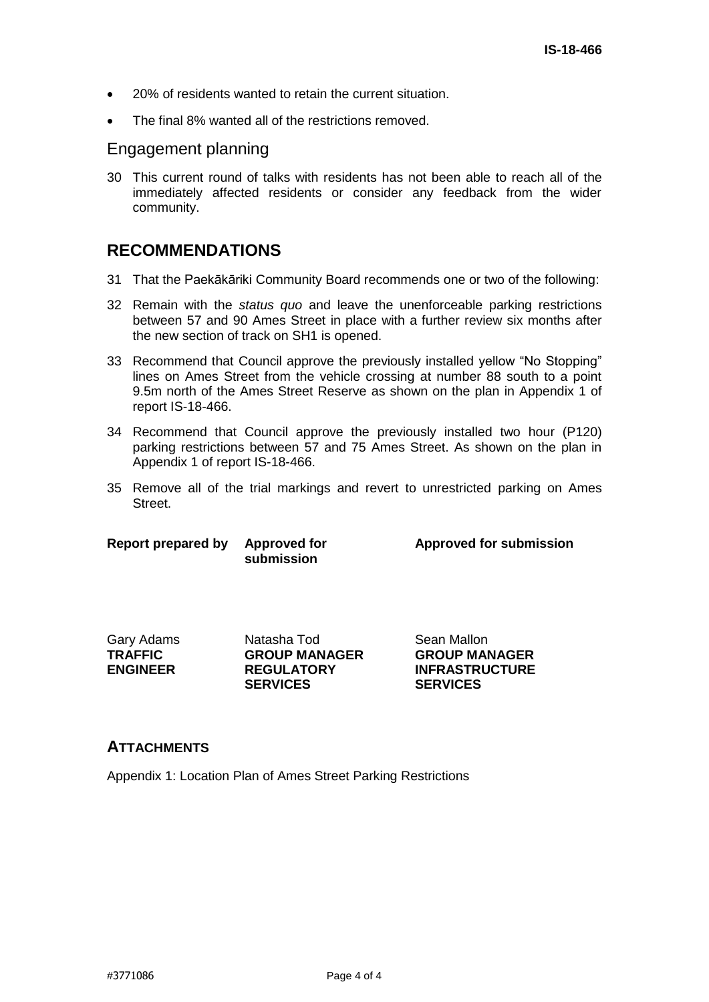- 20% of residents wanted to retain the current situation.
- The final 8% wanted all of the restrictions removed.

## Engagement planning

30 This current round of talks with residents has not been able to reach all of the immediately affected residents or consider any feedback from the wider community.

# **RECOMMENDATIONS**

- 31 That the Paekākāriki Community Board recommends one or two of the following:
- 32 Remain with the *status quo* and leave the unenforceable parking restrictions between 57 and 90 Ames Street in place with a further review six months after the new section of track on SH1 is opened.
- 33 Recommend that Council approve the previously installed yellow "No Stopping" lines on Ames Street from the vehicle crossing at number 88 south to a point 9.5m north of the Ames Street Reserve as shown on the plan in Appendix 1 of report IS-18-466.
- 34 Recommend that Council approve the previously installed two hour (P120) parking restrictions between 57 and 75 Ames Street. As shown on the plan in Appendix 1 of report IS-18-466.
- 35 Remove all of the trial markings and revert to unrestricted parking on Ames Street.

| Report prepared by | <b>Approved for</b> |
|--------------------|---------------------|
|                    | submission          |

**Approved for submission**

| Gary Adams      |
|-----------------|
| TRAFFIC         |
| <b>ENGINEER</b> |

Natasha Tod Sean Mallon **GROUP MANAGER REGULATORY SERVICES**

**GROUP MANAGER INFRASTRUCTURE SERVICES**

### **ATTACHMENTS**

Appendix 1: Location Plan of Ames Street Parking Restrictions